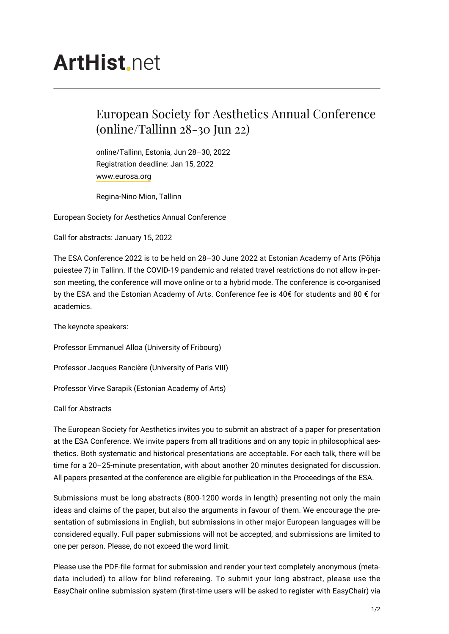# **ArtHist**, net

## European Society for Aesthetics Annual Conference (online/Tallinn 28-30 Jun 22)

online/Tallinn, Estonia, Jun 28–30, 2022 Registration deadline: Jan 15, 2022 [www.eurosa.org](https://www.eurosa.org/)

Regina-Nino Mion, Tallinn

European Society for Aesthetics Annual Conference

Call for abstracts: January 15, 2022

The ESA Conference 2022 is to be held on 28–30 June 2022 at Estonian Academy of Arts (Põhja puiestee 7) in Tallinn. If the COVID-19 pandemic and related travel restrictions do not allow in-person meeting, the conference will move online or to a hybrid mode. The conference is co-organised by the ESA and the Estonian Academy of Arts. Conference fee is 40€ for students and 80 € for academics.

The keynote speakers:

Professor Emmanuel Alloa (University of Fribourg)

Professor Jacques Rancière (University of Paris VIII)

Professor Virve Sarapik (Estonian Academy of Arts)

Call for Abstracts

The European Society for Aesthetics invites you to submit an abstract of a paper for presentation at the ESA Conference. We invite papers from all traditions and on any topic in philosophical aesthetics. Both systematic and historical presentations are acceptable. For each talk, there will be time for a 20–25-minute presentation, with about another 20 minutes designated for discussion. All papers presented at the conference are eligible for publication in the Proceedings of the ESA.

Submissions must be long abstracts (800-1200 words in length) presenting not only the main ideas and claims of the paper, but also the arguments in favour of them. We encourage the presentation of submissions in English, but submissions in other major European languages will be considered equally. Full paper submissions will not be accepted, and submissions are limited to one per person. Please, do not exceed the word limit.

Please use the PDF-file format for submission and render your text completely anonymous (metadata included) to allow for blind refereeing. To submit your long abstract, please use the EasyChair online submission system (first-time users will be asked to register with EasyChair) via